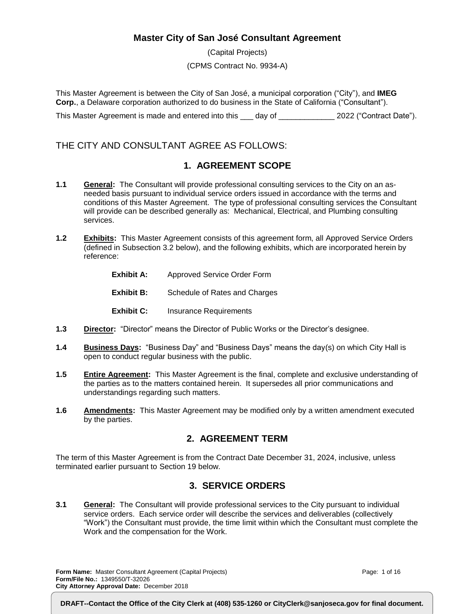# **Master City of San José Consultant Agreement**

(Capital Projects) (CPMS Contract No. 9934-A)

This Master Agreement is between the City of San José, a municipal corporation ("City"), and **IMEG Corp.**, a Delaware corporation authorized to do business in the State of California ("Consultant").

This Master Agreement is made and entered into this \_\_\_ day of \_\_\_\_\_\_\_\_\_\_\_\_\_\_ 2022 ("Contract Date").

# THE CITY AND CONSULTANT AGREE AS FOLLOWS:

# **1. AGREEMENT SCOPE**

- **1.1 General:** The Consultant will provide professional consulting services to the City on an asneeded basis pursuant to individual service orders issued in accordance with the terms and conditions of this Master Agreement. The type of professional consulting services the Consultant will provide can be described generally as: Mechanical, Electrical, and Plumbing consulting services.
- **1.2 Exhibits:** This Master Agreement consists of this agreement form, all Approved Service Orders (defined in Subsection 3.2 below), and the following exhibits, which are incorporated herein by reference:
	- **Exhibit A:** Approved Service Order Form
	- **Exhibit B:** Schedule of Rates and Charges
	- **Exhibit C:** Insurance Requirements
- **1.3 Director:** "Director" means the Director of Public Works or the Director's designee.
- **1.4 Business Days:** "Business Day" and "Business Days" means the day(s) on which City Hall is open to conduct regular business with the public.
- **1.5 Entire Agreement:** This Master Agreement is the final, complete and exclusive understanding of the parties as to the matters contained herein. It supersedes all prior communications and understandings regarding such matters.
- **1.6 Amendments:** This Master Agreement may be modified only by a written amendment executed by the parties.

# **2. AGREEMENT TERM**

The term of this Master Agreement is from the Contract Date December 31, 2024, inclusive, unless terminated earlier pursuant to Section 19 below.

# **3. SERVICE ORDERS**

**3.1 General:** The Consultant will provide professional services to the City pursuant to individual service orders. Each service order will describe the services and deliverables (collectively "Work") the Consultant must provide, the time limit within which the Consultant must complete the Work and the compensation for the Work.

**Form Name:** Master Consultant Agreement (Capital Projects) **Form/File No.:** 1349550/T-32026 **City Attorney Approval Date:** December 2018

Page: 1 of 16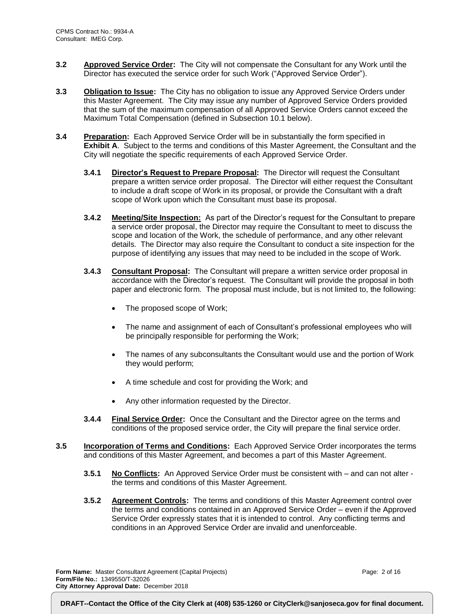- **3.2 Approved Service Order:** The City will not compensate the Consultant for any Work until the Director has executed the service order for such Work ("Approved Service Order").
- **3.3 Obligation to Issue:** The City has no obligation to issue any Approved Service Orders under this Master Agreement. The City may issue any number of Approved Service Orders provided that the sum of the maximum compensation of all Approved Service Orders cannot exceed the Maximum Total Compensation (defined in Subsection 10.1 below).
- **3.4 Preparation:** Each Approved Service Order will be in substantially the form specified in **Exhibit A**. Subject to the terms and conditions of this Master Agreement, the Consultant and the City will negotiate the specific requirements of each Approved Service Order.
	- **3.4.1 Director's Request to Prepare Proposal:** The Director will request the Consultant prepare a written service order proposal. The Director will either request the Consultant to include a draft scope of Work in its proposal, or provide the Consultant with a draft scope of Work upon which the Consultant must base its proposal.
	- **3.4.2 Meeting/Site Inspection:** As part of the Director's request for the Consultant to prepare a service order proposal, the Director may require the Consultant to meet to discuss the scope and location of the Work, the schedule of performance, and any other relevant details. The Director may also require the Consultant to conduct a site inspection for the purpose of identifying any issues that may need to be included in the scope of Work.
	- **3.4.3 Consultant Proposal:** The Consultant will prepare a written service order proposal in accordance with the Director's request. The Consultant will provide the proposal in both paper and electronic form. The proposal must include, but is not limited to, the following:
		- The proposed scope of Work;
		- The name and assignment of each of Consultant's professional employees who will be principally responsible for performing the Work;
		- The names of any subconsultants the Consultant would use and the portion of Work they would perform;
		- A time schedule and cost for providing the Work; and
		- Any other information requested by the Director.
	- **3.4.4 Final Service Order:** Once the Consultant and the Director agree on the terms and conditions of the proposed service order, the City will prepare the final service order.
- **3.5 Incorporation of Terms and Conditions:** Each Approved Service Order incorporates the terms and conditions of this Master Agreement, and becomes a part of this Master Agreement.
	- **3.5.1 No Conflicts:** An Approved Service Order must be consistent with and can not alter the terms and conditions of this Master Agreement.
	- **3.5.2 Agreement Controls:** The terms and conditions of this Master Agreement control over the terms and conditions contained in an Approved Service Order – even if the Approved Service Order expressly states that it is intended to control. Any conflicting terms and conditions in an Approved Service Order are invalid and unenforceable.

**Form Name:** Master Consultant Agreement (Capital Projects) **Form/File No.:** 1349550/T-32026 **City Attorney Approval Date:** December 2018

Page: 2 of 16

**DRAFT--Contact the Office of the City Clerk at (408) 535-1260 or CityClerk@sanjoseca.gov for final document.**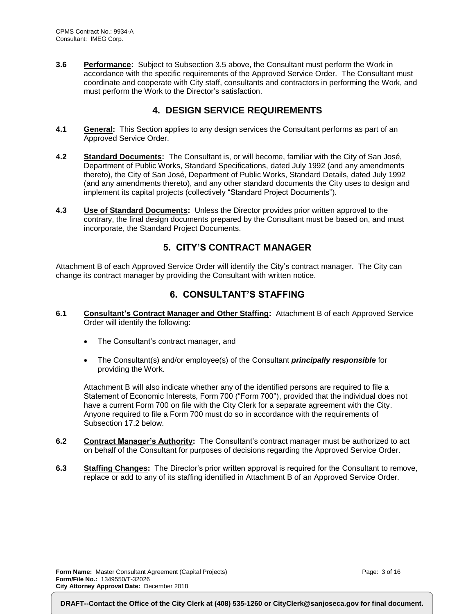**3.6 Performance:** Subject to Subsection 3.5 above, the Consultant must perform the Work in accordance with the specific requirements of the Approved Service Order. The Consultant must coordinate and cooperate with City staff, consultants and contractors in performing the Work, and must perform the Work to the Director's satisfaction.

# **4. DESIGN SERVICE REQUIREMENTS**

- **4.1 General:** This Section applies to any design services the Consultant performs as part of an Approved Service Order.
- **4.2 Standard Documents:** The Consultant is, or will become, familiar with the City of San José, Department of Public Works, Standard Specifications, dated July 1992 (and any amendments thereto), the City of San José, Department of Public Works, Standard Details, dated July 1992 (and any amendments thereto), and any other standard documents the City uses to design and implement its capital projects (collectively "Standard Project Documents").
- **4.3 Use of Standard Documents:** Unless the Director provides prior written approval to the contrary, the final design documents prepared by the Consultant must be based on, and must incorporate, the Standard Project Documents.

# **5. CITY'S CONTRACT MANAGER**

Attachment B of each Approved Service Order will identify the City's contract manager. The City can change its contract manager by providing the Consultant with written notice.

# **6. CONSULTANT'S STAFFING**

- **6.1 Consultant's Contract Manager and Other Staffing:** Attachment B of each Approved Service Order will identify the following:
	- The Consultant's contract manager, and
	- The Consultant(s) and/or employee(s) of the Consultant *principally responsible* for providing the Work.

Attachment B will also indicate whether any of the identified persons are required to file a Statement of Economic Interests, Form 700 ("Form 700"), provided that the individual does not have a current Form 700 on file with the City Clerk for a separate agreement with the City. Anyone required to file a Form 700 must do so in accordance with the requirements of Subsection 17.2 below.

- **6.2 Contract Manager's Authority:** The Consultant's contract manager must be authorized to act on behalf of the Consultant for purposes of decisions regarding the Approved Service Order.
- **6.3 Staffing Changes:** The Director's prior written approval is required for the Consultant to remove, replace or add to any of its staffing identified in Attachment B of an Approved Service Order.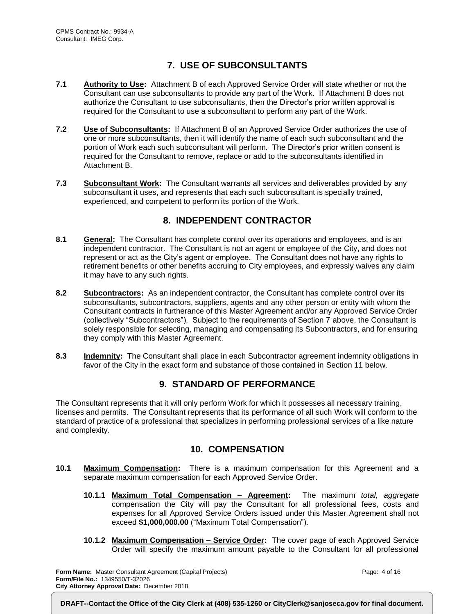# **7. USE OF SUBCONSULTANTS**

- **7.1 Authority to Use:** Attachment B of each Approved Service Order will state whether or not the Consultant can use subconsultants to provide any part of the Work. If Attachment B does not authorize the Consultant to use subconsultants, then the Director's prior written approval is required for the Consultant to use a subconsultant to perform any part of the Work.
- **7.2 Use of Subconsultants:** If Attachment B of an Approved Service Order authorizes the use of one or more subconsultants, then it will identify the name of each such subconsultant and the portion of Work each such subconsultant will perform. The Director's prior written consent is required for the Consultant to remove, replace or add to the subconsultants identified in Attachment B.
- **7.3 Subconsultant Work:** The Consultant warrants all services and deliverables provided by any subconsultant it uses, and represents that each such subconsultant is specially trained, experienced, and competent to perform its portion of the Work.

# **8. INDEPENDENT CONTRACTOR**

- **8.1 General:** The Consultant has complete control over its operations and employees, and is an independent contractor. The Consultant is not an agent or employee of the City, and does not represent or act as the City's agent or employee. The Consultant does not have any rights to retirement benefits or other benefits accruing to City employees, and expressly waives any claim it may have to any such rights.
- **8.2 Subcontractors:** As an independent contractor, the Consultant has complete control over its subconsultants, subcontractors, suppliers, agents and any other person or entity with whom the Consultant contracts in furtherance of this Master Agreement and/or any Approved Service Order (collectively "Subcontractors"). Subject to the requirements of Section 7 above, the Consultant is solely responsible for selecting, managing and compensating its Subcontractors, and for ensuring they comply with this Master Agreement.
- **8.3 Indemnity:** The Consultant shall place in each Subcontractor agreement indemnity obligations in favor of the City in the exact form and substance of those contained in Section 11 below.

# **9. STANDARD OF PERFORMANCE**

The Consultant represents that it will only perform Work for which it possesses all necessary training, licenses and permits. The Consultant represents that its performance of all such Work will conform to the standard of practice of a professional that specializes in performing professional services of a like nature and complexity.

# **10. COMPENSATION**

- **10.1 Maximum Compensation:** There is a maximum compensation for this Agreement and a separate maximum compensation for each Approved Service Order.
	- **10.1.1 Maximum Total Compensation – Agreement:** The maximum *total, aggregate* compensation the City will pay the Consultant for all professional fees, costs and expenses for all Approved Service Orders issued under this Master Agreement shall not exceed **\$1,000,000.00** ("Maximum Total Compensation").
	- **10.1.2 Maximum Compensation – Service Order:** The cover page of each Approved Service Order will specify the maximum amount payable to the Consultant for all professional

**Form Name:** Master Consultant Agreement (Capital Projects) **Form/File No.:** 1349550/T-32026 **City Attorney Approval Date:** December 2018

Page: 4 of 16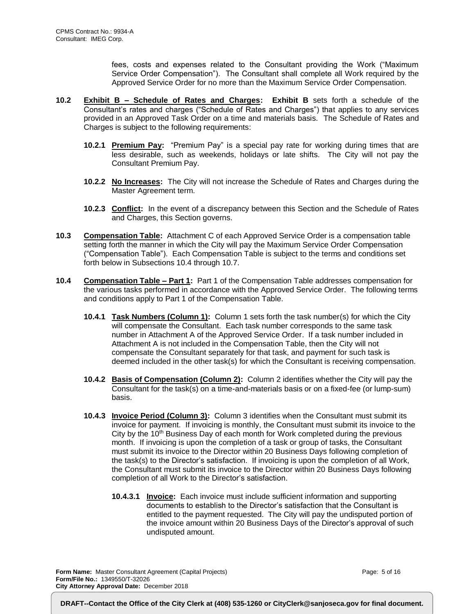fees, costs and expenses related to the Consultant providing the Work ("Maximum Service Order Compensation"). The Consultant shall complete all Work required by the Approved Service Order for no more than the Maximum Service Order Compensation.

- **10.2 Exhibit B – Schedule of Rates and Charges: Exhibit B** sets forth a schedule of the Consultant's rates and charges ("Schedule of Rates and Charges") that applies to any services provided in an Approved Task Order on a time and materials basis. The Schedule of Rates and Charges is subject to the following requirements:
	- **10.2.1 Premium Pay:** "Premium Pay" is a special pay rate for working during times that are less desirable, such as weekends, holidays or late shifts. The City will not pay the Consultant Premium Pay.
	- **10.2.2 No Increases:** The City will not increase the Schedule of Rates and Charges during the Master Agreement term.
	- **10.2.3 Conflict:** In the event of a discrepancy between this Section and the Schedule of Rates and Charges, this Section governs.
- **10.3 Compensation Table:** Attachment C of each Approved Service Order is a compensation table setting forth the manner in which the City will pay the Maximum Service Order Compensation ("Compensation Table"). Each Compensation Table is subject to the terms and conditions set forth below in Subsections 10.4 through 10.7.
- **10.4 Compensation Table – Part 1:** Part 1 of the Compensation Table addresses compensation for the various tasks performed in accordance with the Approved Service Order. The following terms and conditions apply to Part 1 of the Compensation Table.
	- **10.4.1 Task Numbers (Column 1):** Column 1 sets forth the task number(s) for which the City will compensate the Consultant. Each task number corresponds to the same task number in Attachment A of the Approved Service Order. If a task number included in Attachment A is not included in the Compensation Table, then the City will not compensate the Consultant separately for that task, and payment for such task is deemed included in the other task(s) for which the Consultant is receiving compensation.
	- **10.4.2 Basis of Compensation (Column 2):** Column 2 identifies whether the City will pay the Consultant for the task(s) on a time-and-materials basis or on a fixed-fee (or lump-sum) basis.
	- **10.4.3 Invoice Period (Column 3):** Column 3 identifies when the Consultant must submit its invoice for payment. If invoicing is monthly, the Consultant must submit its invoice to the City by the 10<sup>th</sup> Business Day of each month for Work completed during the previous month. If invoicing is upon the completion of a task or group of tasks, the Consultant must submit its invoice to the Director within 20 Business Days following completion of the task(s) to the Director's satisfaction. If invoicing is upon the completion of all Work, the Consultant must submit its invoice to the Director within 20 Business Days following completion of all Work to the Director's satisfaction.
		- **10.4.3.1 Invoice:** Each invoice must include sufficient information and supporting documents to establish to the Director's satisfaction that the Consultant is entitled to the payment requested. The City will pay the undisputed portion of the invoice amount within 20 Business Days of the Director's approval of such undisputed amount.

**Form Name:** Master Consultant Agreement (Capital Projects) **Form/File No.:** 1349550/T-32026 **City Attorney Approval Date:** December 2018

Page: 5 of 16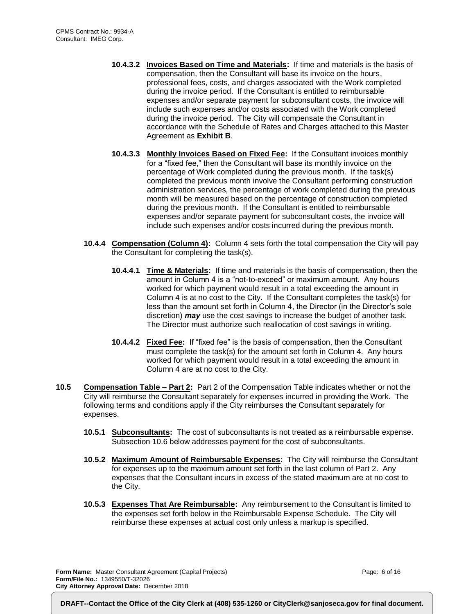- **10.4.3.2 Invoices Based on Time and Materials:** If time and materials is the basis of compensation, then the Consultant will base its invoice on the hours, professional fees, costs, and charges associated with the Work completed during the invoice period. If the Consultant is entitled to reimbursable expenses and/or separate payment for subconsultant costs, the invoice will include such expenses and/or costs associated with the Work completed during the invoice period. The City will compensate the Consultant in accordance with the Schedule of Rates and Charges attached to this Master Agreement as **Exhibit B**.
- **10.4.3.3 Monthly Invoices Based on Fixed Fee:** If the Consultant invoices monthly for a "fixed fee," then the Consultant will base its monthly invoice on the percentage of Work completed during the previous month. If the task(s) completed the previous month involve the Consultant performing construction administration services, the percentage of work completed during the previous month will be measured based on the percentage of construction completed during the previous month. If the Consultant is entitled to reimbursable expenses and/or separate payment for subconsultant costs, the invoice will include such expenses and/or costs incurred during the previous month.
- **10.4.4 Compensation (Column 4):** Column 4 sets forth the total compensation the City will pay the Consultant for completing the task(s).
	- **10.4.4.1 Time & Materials:** If time and materials is the basis of compensation, then the amount in Column 4 is a "not-to-exceed" or maximum amount. Any hours worked for which payment would result in a total exceeding the amount in Column 4 is at no cost to the City. If the Consultant completes the task(s) for less than the amount set forth in Column 4, the Director (in the Director's sole discretion) *may* use the cost savings to increase the budget of another task. The Director must authorize such reallocation of cost savings in writing.
	- **10.4.4.2 Fixed Fee:** If "fixed fee" is the basis of compensation, then the Consultant must complete the task(s) for the amount set forth in Column 4. Any hours worked for which payment would result in a total exceeding the amount in Column 4 are at no cost to the City.
- **10.5 Compensation Table – Part 2:** Part 2 of the Compensation Table indicates whether or not the City will reimburse the Consultant separately for expenses incurred in providing the Work. The following terms and conditions apply if the City reimburses the Consultant separately for expenses.
	- **10.5.1 Subconsultants:** The cost of subconsultants is not treated as a reimbursable expense. Subsection 10.6 below addresses payment for the cost of subconsultants.
	- **10.5.2 Maximum Amount of Reimbursable Expenses:** The City will reimburse the Consultant for expenses up to the maximum amount set forth in the last column of Part 2. Any expenses that the Consultant incurs in excess of the stated maximum are at no cost to the City.
	- **10.5.3 Expenses That Are Reimbursable:** Any reimbursement to the Consultant is limited to the expenses set forth below in the Reimbursable Expense Schedule. The City will reimburse these expenses at actual cost only unless a markup is specified.

**Form Name:** Master Consultant Agreement (Capital Projects) **Form/File No.:** 1349550/T-32026 **City Attorney Approval Date:** December 2018

Page: 6 of 16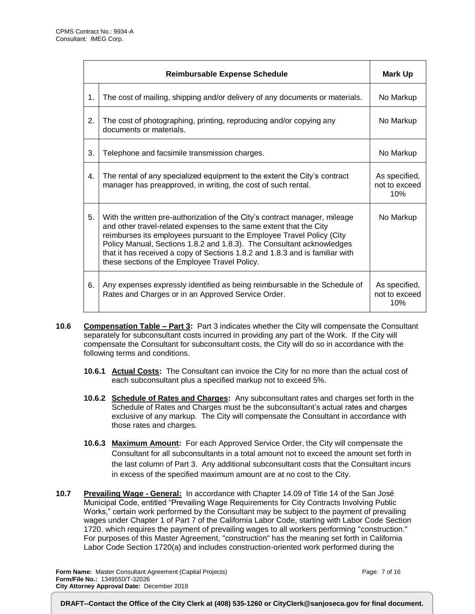|                  | <b>Reimbursable Expense Schedule</b>                                                                                                                                                                                                                                                                                                                                                                                                | Mark Up                               |
|------------------|-------------------------------------------------------------------------------------------------------------------------------------------------------------------------------------------------------------------------------------------------------------------------------------------------------------------------------------------------------------------------------------------------------------------------------------|---------------------------------------|
| $\mathbf 1$ .    | The cost of mailing, shipping and/or delivery of any documents or materials.                                                                                                                                                                                                                                                                                                                                                        | No Markup                             |
| 2.               | The cost of photographing, printing, reproducing and/or copying any<br>documents or materials.                                                                                                                                                                                                                                                                                                                                      | No Markup                             |
| 3.               | Telephone and facsimile transmission charges.                                                                                                                                                                                                                                                                                                                                                                                       | No Markup                             |
| $\overline{4}$ . | The rental of any specialized equipment to the extent the City's contract<br>manager has preapproved, in writing, the cost of such rental.                                                                                                                                                                                                                                                                                          | As specified,<br>not to exceed<br>10% |
| 5.               | With the written pre-authorization of the City's contract manager, mileage<br>and other travel-related expenses to the same extent that the City<br>reimburses its employees pursuant to the Employee Travel Policy (City<br>Policy Manual, Sections 1.8.2 and 1.8.3). The Consultant acknowledges<br>that it has received a copy of Sections 1.8.2 and 1.8.3 and is familiar with<br>these sections of the Employee Travel Policy. | No Markup                             |
| 6.               | Any expenses expressly identified as being reimbursable in the Schedule of<br>Rates and Charges or in an Approved Service Order.                                                                                                                                                                                                                                                                                                    | As specified,<br>not to exceed<br>10% |

- **10.6 Compensation Table – Part 3:** Part 3 indicates whether the City will compensate the Consultant separately for subconsultant costs incurred in providing any part of the Work. If the City will compensate the Consultant for subconsultant costs, the City will do so in accordance with the following terms and conditions.
	- **10.6.1 Actual Costs:** The Consultant can invoice the City for no more than the actual cost of each subconsultant plus a specified markup not to exceed 5%.
	- **10.6.2 Schedule of Rates and Charges:** Any subconsultant rates and charges set forth in the Schedule of Rates and Charges must be the subconsultant's actual rates and charges exclusive of any markup. The City will compensate the Consultant in accordance with those rates and charges.
	- **10.6.3 Maximum Amount:** For each Approved Service Order, the City will compensate the Consultant for all subconsultants in a total amount not to exceed the amount set forth in the last column of Part 3. Any additional subconsultant costs that the Consultant incurs in excess of the specified maximum amount are at no cost to the City.
- **10.7 Prevailing Wage - General:** In accordance with Chapter 14.09 of Title 14 of the San José Municipal Code, entitled "Prevailing Wage Requirements for City Contracts Involving Public Works," certain work performed by the Consultant may be subject to the payment of prevailing wages under Chapter 1 of Part 7 of the California Labor Code, starting with Labor Code Section 1720. which requires the payment of prevailing wages to all workers performing "construction." For purposes of this Master Agreement, "construction" has the meaning set forth in California Labor Code Section 1720(a) and includes construction-oriented work performed during the

**Form Name:** Master Consultant Agreement (Capital Projects) **Form/File No.:** 1349550/T-32026 **City Attorney Approval Date:** December 2018

Page: 7 of 16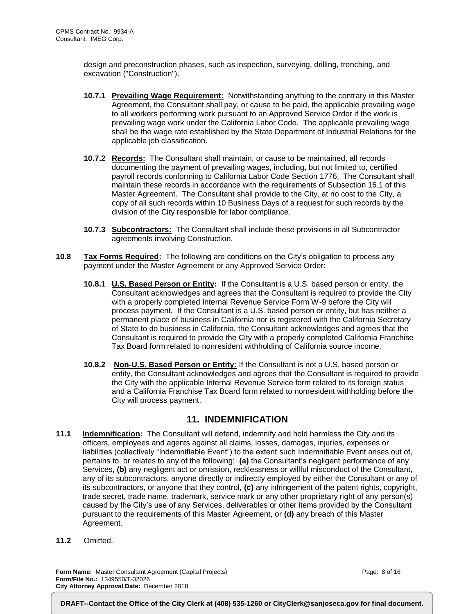design and preconstruction phases, such as inspection, surveying, drilling, trenching, and excavation ("Construction").

- **10.7.1 Prevailing Wage Requirement:** Notwithstanding anything to the contrary in this Master Agreement, the Consultant shall pay, or cause to be paid, the applicable prevailing wage to all workers performing work pursuant to an Approved Service Order if the work is prevailing wage work under the California Labor Code. The applicable prevailing wage shall be the wage rate established by the State Department of Industrial Relations for the applicable job classification.
- **10.7.2 Records:** The Consultant shall maintain, or cause to be maintained, all records documenting the payment of prevailing wages, including, but not limited to, certified payroll records conforming to California Labor Code Section 1776. The Consultant shall maintain these records in accordance with the requirements of Subsection 16.1 of this Master Agreement. The Consultant shall provide to the City, at no cost to the City, a copy of all such records within 10 Business Days of a request for such records by the division of the City responsible for labor compliance.
- **10.7.3 Subcontractors:** The Consultant shall include these provisions in all Subcontractor agreements involving Construction.
- **10.8 Tax Forms Required:** The following are conditions on the City's obligation to process any payment under the Master Agreement or any Approved Service Order:
	- **10.8.1 U.S. Based Person or Entity:** If the Consultant is a U.S. based person or entity, the Consultant acknowledges and agrees that the Consultant is required to provide the City with a properly completed Internal Revenue Service Form W-9 before the City will process payment. If the Consultant is a U.S. based person or entity, but has neither a permanent place of business in California nor is registered with the California Secretary of State to do business in California, the Consultant acknowledges and agrees that the Consultant is required to provide the City with a properly completed California Franchise Tax Board form related to nonresident withholding of California source income.
	- **10.8.2 Non-U.S. Based Person or Entity:** If the Consultant is not a U.S. based person or entity, the Consultant acknowledges and agrees that the Consultant is required to provide the City with the applicable Internal Revenue Service form related to its foreign status and a California Franchise Tax Board form related to nonresident withholding before the City will process payment.

#### **11. INDEMNIFICATION**

- **11.1 Indemnification:** The Consultant will defend, indemnify and hold harmless the City and its officers, employees and agents against all claims, losses, damages, injuries, expenses or liabilities (collectively "Indemnifiable Event") to the extent such Indemnifiable Event arises out of, pertains to, or relates to any of the following: **(a)** the Consultant's negligent performance of any Services, **(b)** any negligent act or omission, recklessness or willful misconduct of the Consultant, any of its subcontractors, anyone directly or indirectly employed by either the Consultant or any of its subcontractors, or anyone that they control, **(c)** any infringement of the patent rights, copyright, trade secret, trade name, trademark, service mark or any other proprietary right of any person(s) caused by the City's use of any Services, deliverables or other items provided by the Consultant pursuant to the requirements of this Master Agreement, or **(d)** any breach of this Master Agreement.
- **11.2** Omitted.

**Form Name:** Master Consultant Agreement (Capital Projects) **Form/File No.:** 1349550/T-32026 **City Attorney Approval Date:** December 2018

Page: 8 of 16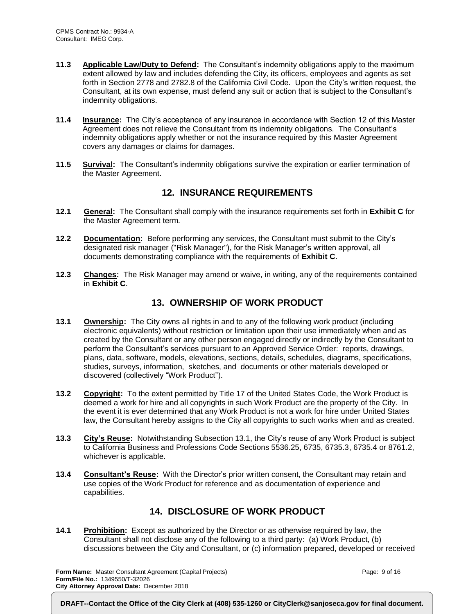- **11.3 Applicable Law/Duty to Defend:** The Consultant's indemnity obligations apply to the maximum extent allowed by law and includes defending the City, its officers, employees and agents as set forth in Section 2778 and 2782.8 of the California Civil Code. Upon the City's written request, the Consultant, at its own expense, must defend any suit or action that is subject to the Consultant's indemnity obligations.
- **11.4 Insurance:** The City's acceptance of any insurance in accordance with Section 12 of this Master Agreement does not relieve the Consultant from its indemnity obligations. The Consultant's indemnity obligations apply whether or not the insurance required by this Master Agreement covers any damages or claims for damages.
- **11.5 Survival:** The Consultant's indemnity obligations survive the expiration or earlier termination of the Master Agreement.

# **12. INSURANCE REQUIREMENTS**

- **12.1 General:** The Consultant shall comply with the insurance requirements set forth in **Exhibit C** for the Master Agreement term.
- **12.2 Documentation:** Before performing any services, the Consultant must submit to the City's designated risk manager ("Risk Manager"), for the Risk Manager's written approval, all documents demonstrating compliance with the requirements of **Exhibit C**.
- **12.3 Changes:** The Risk Manager may amend or waive, in writing, any of the requirements contained in **Exhibit C**.

### **13. OWNERSHIP OF WORK PRODUCT**

- **13.1 Ownership:** The City owns all rights in and to any of the following work product (including electronic equivalents) without restriction or limitation upon their use immediately when and as created by the Consultant or any other person engaged directly or indirectly by the Consultant to perform the Consultant's services pursuant to an Approved Service Order: reports, drawings, plans, data, software, models, elevations, sections, details, schedules, diagrams, specifications, studies, surveys, information, sketches, and documents or other materials developed or discovered (collectively "Work Product").
- **13.2 Copyright:** To the extent permitted by Title 17 of the United States Code, the Work Product is deemed a work for hire and all copyrights in such Work Product are the property of the City. In the event it is ever determined that any Work Product is not a work for hire under United States law, the Consultant hereby assigns to the City all copyrights to such works when and as created.
- **13.3 City's Reuse:** Notwithstanding Subsection 13.1, the City's reuse of any Work Product is subject to California Business and Professions Code Sections 5536.25, 6735, 6735.3, 6735.4 or 8761.2, whichever is applicable.
- **13.4 Consultant's Reuse:** With the Director's prior written consent, the Consultant may retain and use copies of the Work Product for reference and as documentation of experience and capabilities.

# **14. DISCLOSURE OF WORK PRODUCT**

**14.1 Prohibition:** Except as authorized by the Director or as otherwise required by law, the Consultant shall not disclose any of the following to a third party: (a) Work Product, (b) discussions between the City and Consultant, or (c) information prepared, developed or received

**Form Name:** Master Consultant Agreement (Capital Projects) **Form/File No.:** 1349550/T-32026 **City Attorney Approval Date:** December 2018

Page: 9 of 16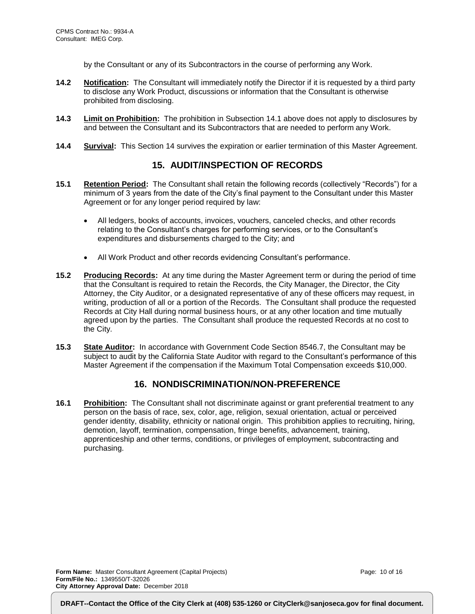by the Consultant or any of its Subcontractors in the course of performing any Work.

- **14.2 Notification:** The Consultant will immediately notify the Director if it is requested by a third party to disclose any Work Product, discussions or information that the Consultant is otherwise prohibited from disclosing.
- **14.3 Limit on Prohibition:** The prohibition in Subsection 14.1 above does not apply to disclosures by and between the Consultant and its Subcontractors that are needed to perform any Work.
- **14.4 Survival:** This Section 14 survives the expiration or earlier termination of this Master Agreement.

# **15. AUDIT/INSPECTION OF RECORDS**

- **15.1 Retention Period:** The Consultant shall retain the following records (collectively "Records") for a minimum of 3 years from the date of the City's final payment to the Consultant under this Master Agreement or for any longer period required by law:
	- All ledgers, books of accounts, invoices, vouchers, canceled checks, and other records relating to the Consultant's charges for performing services, or to the Consultant's expenditures and disbursements charged to the City; and
	- All Work Product and other records evidencing Consultant's performance.
- **15.2 Producing Records:** At any time during the Master Agreement term or during the period of time that the Consultant is required to retain the Records, the City Manager, the Director, the City Attorney, the City Auditor, or a designated representative of any of these officers may request, in writing, production of all or a portion of the Records. The Consultant shall produce the requested Records at City Hall during normal business hours, or at any other location and time mutually agreed upon by the parties. The Consultant shall produce the requested Records at no cost to the City.
- **15.3 State Auditor:** In accordance with Government Code Section 8546.7, the Consultant may be subject to audit by the California State Auditor with regard to the Consultant's performance of this Master Agreement if the compensation if the Maximum Total Compensation exceeds \$10,000.

# **16. NONDISCRIMINATION/NON-PREFERENCE**

**16.1 Prohibition:** The Consultant shall not discriminate against or grant preferential treatment to any person on the basis of race, sex, color, age, religion, sexual orientation, actual or perceived gender identity, disability, ethnicity or national origin. This prohibition applies to recruiting, hiring, demotion, layoff, termination, compensation, fringe benefits, advancement, training, apprenticeship and other terms, conditions, or privileges of employment, subcontracting and purchasing.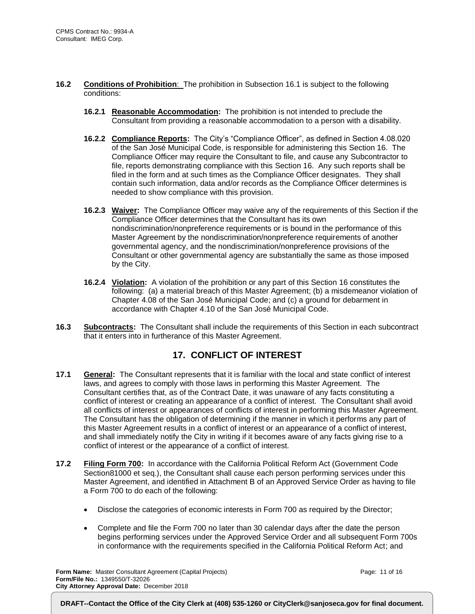- **16.2 Conditions of Prohibition**: The prohibition in Subsection 16.1 is subject to the following conditions:
	- **16.2.1 Reasonable Accommodation:** The prohibition is not intended to preclude the Consultant from providing a reasonable accommodation to a person with a disability.
	- **16.2.2 Compliance Reports:** The City's "Compliance Officer", as defined in Section 4.08.020 of the San José Municipal Code, is responsible for administering this Section 16. The Compliance Officer may require the Consultant to file, and cause any Subcontractor to file, reports demonstrating compliance with this Section 16. Any such reports shall be filed in the form and at such times as the Compliance Officer designates. They shall contain such information, data and/or records as the Compliance Officer determines is needed to show compliance with this provision.
	- **16.2.3 Waiver:** The Compliance Officer may waive any of the requirements of this Section if the Compliance Officer determines that the Consultant has its own nondiscrimination/nonpreference requirements or is bound in the performance of this Master Agreement by the nondiscrimination/nonpreference requirements of another governmental agency, and the nondiscrimination/nonpreference provisions of the Consultant or other governmental agency are substantially the same as those imposed by the City.
	- **16.2.4 Violation:** A violation of the prohibition or any part of this Section 16 constitutes the following: (a) a material breach of this Master Agreement; (b) a misdemeanor violation of Chapter 4.08 of the San José Municipal Code; and (c) a ground for debarment in accordance with Chapter 4.10 of the San José Municipal Code.
- **16.3 Subcontracts:** The Consultant shall include the requirements of this Section in each subcontract that it enters into in furtherance of this Master Agreement.

# **17. CONFLICT OF INTEREST**

- **17.1 General:** The Consultant represents that it is familiar with the local and state conflict of interest laws, and agrees to comply with those laws in performing this Master Agreement. The Consultant certifies that, as of the Contract Date, it was unaware of any facts constituting a conflict of interest or creating an appearance of a conflict of interest. The Consultant shall avoid all conflicts of interest or appearances of conflicts of interest in performing this Master Agreement. The Consultant has the obligation of determining if the manner in which it performs any part of this Master Agreement results in a conflict of interest or an appearance of a conflict of interest, and shall immediately notify the City in writing if it becomes aware of any facts giving rise to a conflict of interest or the appearance of a conflict of interest.
- **17.2 Filing Form 700:** In accordance with the California Political Reform Act (Government Code Section81000 et seq.), the Consultant shall cause each person performing services under this Master Agreement, and identified in Attachment B of an Approved Service Order as having to file a Form 700 to do each of the following:
	- Disclose the categories of economic interests in Form 700 as required by the Director;
	- Complete and file the Form 700 no later than 30 calendar days after the date the person begins performing services under the Approved Service Order and all subsequent Form 700s in conformance with the requirements specified in the California Political Reform Act; and

**Form Name:** Master Consultant Agreement (Capital Projects) **Form/File No.:** 1349550/T-32026 **City Attorney Approval Date:** December 2018

Page: 11 of 16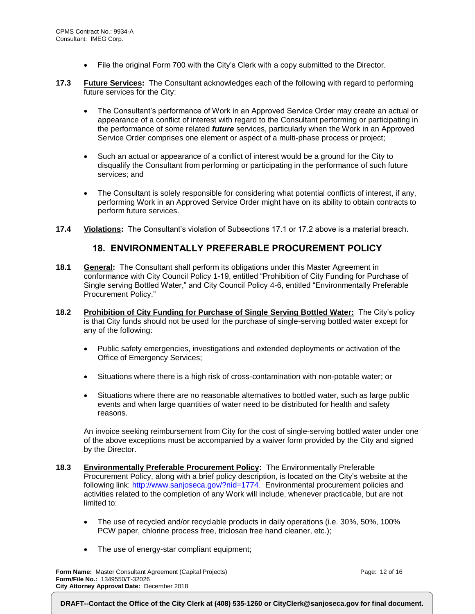- File the original Form 700 with the City's Clerk with a copy submitted to the Director.
- **17.3 Future Services:** The Consultant acknowledges each of the following with regard to performing future services for the City:
	- The Consultant's performance of Work in an Approved Service Order may create an actual or appearance of a conflict of interest with regard to the Consultant performing or participating in the performance of some related *future* services, particularly when the Work in an Approved Service Order comprises one element or aspect of a multi-phase process or project;
	- Such an actual or appearance of a conflict of interest would be a ground for the City to disqualify the Consultant from performing or participating in the performance of such future services; and
	- The Consultant is solely responsible for considering what potential conflicts of interest, if any, performing Work in an Approved Service Order might have on its ability to obtain contracts to perform future services.
- **17.4 Violations:** The Consultant's violation of Subsections 17.1 or 17.2 above is a material breach.

#### **18. ENVIRONMENTALLY PREFERABLE PROCUREMENT POLICY**

- **18.1 General:** The Consultant shall perform its obligations under this Master Agreement in conformance with City Council Policy 1-19, entitled "Prohibition of City Funding for Purchase of Single serving Bottled Water," and City Council Policy 4-6, entitled "Environmentally Preferable Procurement Policy."
- **18.2 Prohibition of City Funding for Purchase of Single Serving Bottled Water:** The City's policy is that City funds should not be used for the purchase of single-serving bottled water except for any of the following:
	- Public safety emergencies, investigations and extended deployments or activation of the Office of Emergency Services;
	- Situations where there is a high risk of cross-contamination with non-potable water; or
	- Situations where there are no reasonable alternatives to bottled water, such as large public events and when large quantities of water need to be distributed for health and safety reasons.

An invoice seeking reimbursement from City for the cost of single-serving bottled water under one of the above exceptions must be accompanied by a waiver form provided by the City and signed by the Director.

- **18.3 Environmentally Preferable Procurement Policy:** The Environmentally Preferable Procurement Policy, along with a brief policy description, is located on the City's website at the following link: [http://www.sanjoseca.gov/?nid=1774.](http://www.sanjoseca.gov/?nid=1774) Environmental procurement policies and activities related to the completion of any Work will include, whenever practicable, but are not limited to:
	- The use of recycled and/or recyclable products in daily operations (i.e. 30%, 50%, 100% PCW paper, chlorine process free, triclosan free hand cleaner, etc.);
	- The use of energy-star compliant equipment;

**Form Name:** Master Consultant Agreement (Capital Projects) **Form/File No.:** 1349550/T-32026 **City Attorney Approval Date:** December 2018

Page: 12 of 16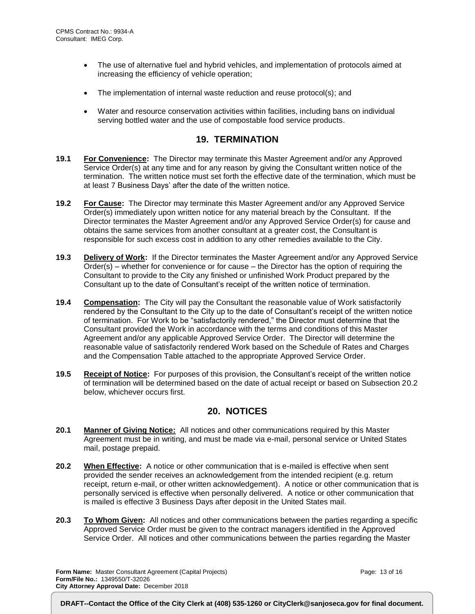- The use of alternative fuel and hybrid vehicles, and implementation of protocols aimed at increasing the efficiency of vehicle operation;
- The implementation of internal waste reduction and reuse protocol(s); and
- Water and resource conservation activities within facilities, including bans on individual serving bottled water and the use of compostable food service products.

#### **19. TERMINATION**

- **19.1 For Convenience:** The Director may terminate this Master Agreement and/or any Approved Service Order(s) at any time and for any reason by giving the Consultant written notice of the termination. The written notice must set forth the effective date of the termination, which must be at least 7 Business Days' after the date of the written notice.
- **19.2 For Cause:** The Director may terminate this Master Agreement and/or any Approved Service Order(s) immediately upon written notice for any material breach by the Consultant. If the Director terminates the Master Agreement and/or any Approved Service Order(s) for cause and obtains the same services from another consultant at a greater cost, the Consultant is responsible for such excess cost in addition to any other remedies available to the City.
- **19.3 Delivery of Work:** If the Director terminates the Master Agreement and/or any Approved Service Order(s) – whether for convenience or for cause – the Director has the option of requiring the Consultant to provide to the City any finished or unfinished Work Product prepared by the Consultant up to the date of Consultant's receipt of the written notice of termination.
- **19.4 Compensation:** The City will pay the Consultant the reasonable value of Work satisfactorily rendered by the Consultant to the City up to the date of Consultant's receipt of the written notice of termination. For Work to be "satisfactorily rendered," the Director must determine that the Consultant provided the Work in accordance with the terms and conditions of this Master Agreement and/or any applicable Approved Service Order. The Director will determine the reasonable value of satisfactorily rendered Work based on the Schedule of Rates and Charges and the Compensation Table attached to the appropriate Approved Service Order.
- **19.5 Receipt of Notice:** For purposes of this provision, the Consultant's receipt of the written notice of termination will be determined based on the date of actual receipt or based on Subsection 20.2 below, whichever occurs first.

# **20. NOTICES**

- **20.1 Manner of Giving Notice:** All notices and other communications required by this Master Agreement must be in writing, and must be made via e-mail, personal service or United States mail, postage prepaid.
- **20.2 When Effective:** A notice or other communication that is e-mailed is effective when sent provided the sender receives an acknowledgement from the intended recipient (e.g. return receipt, return e-mail, or other written acknowledgement). A notice or other communication that is personally serviced is effective when personally delivered. A notice or other communication that is mailed is effective 3 Business Days after deposit in the United States mail.
- **20.3 To Whom Given:** All notices and other communications between the parties regarding a specific Approved Service Order must be given to the contract managers identified in the Approved Service Order. All notices and other communications between the parties regarding the Master

**Form Name:** Master Consultant Agreement (Capital Projects) **Form/File No.:** 1349550/T-32026 **City Attorney Approval Date:** December 2018

Page: 13 of 16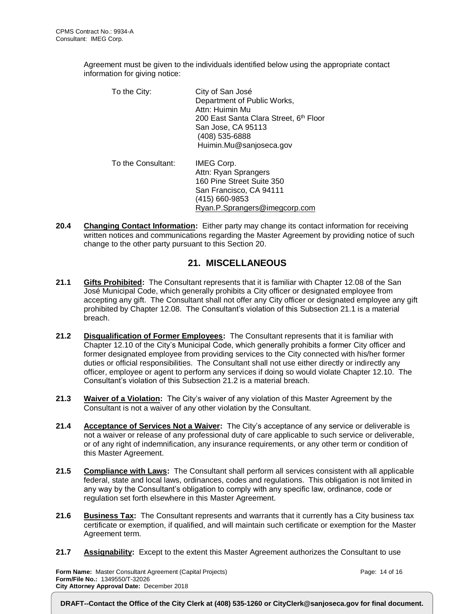Agreement must be given to the individuals identified below using the appropriate contact information for giving notice:

| To the City:       | City of San José<br>Department of Public Works,<br>Attn: Huimin Mu<br>200 East Santa Clara Street, 6th Floor<br>San Jose, CA 95113<br>(408) 535-6888<br>Huimin.Mu@sanjoseca.gov |
|--------------------|---------------------------------------------------------------------------------------------------------------------------------------------------------------------------------|
| To the Consultant: | IMEG Corp.<br>Attn: Ryan Sprangers<br>160 Pine Street Suite 350<br>San Francisco, CA 94111<br>(415) 660-9853<br>Ryan.P.Sprangers@imegcorp.com                                   |

**20.4 Changing Contact Information:** Either party may change its contact information for receiving written notices and communications regarding the Master Agreement by providing notice of such change to the other party pursuant to this Section 20.

# **21. MISCELLANEOUS**

- **21.1 Gifts Prohibited:** The Consultant represents that it is familiar with Chapter 12.08 of the San José Municipal Code, which generally prohibits a City officer or designated employee from accepting any gift. The Consultant shall not offer any City officer or designated employee any gift prohibited by Chapter 12.08. The Consultant's violation of this Subsection 21.1 is a material breach.
- **21.2 Disqualification of Former Employees:** The Consultant represents that it is familiar with Chapter 12.10 of the City's Municipal Code, which generally prohibits a former City officer and former designated employee from providing services to the City connected with his/her former duties or official responsibilities. The Consultant shall not use either directly or indirectly any officer, employee or agent to perform any services if doing so would violate Chapter 12.10. The Consultant's violation of this Subsection 21.2 is a material breach.
- **21.3 Waiver of a Violation:** The City's waiver of any violation of this Master Agreement by the Consultant is not a waiver of any other violation by the Consultant.
- **21.4 Acceptance of Services Not a Waiver:** The City's acceptance of any service or deliverable is not a waiver or release of any professional duty of care applicable to such service or deliverable, or of any right of indemnification, any insurance requirements, or any other term or condition of this Master Agreement.
- **21.5 Compliance with Laws:** The Consultant shall perform all services consistent with all applicable federal, state and local laws, ordinances, codes and regulations. This obligation is not limited in any way by the Consultant's obligation to comply with any specific law, ordinance, code or regulation set forth elsewhere in this Master Agreement.
- **21.6 Business Tax:** The Consultant represents and warrants that it currently has a City business tax certificate or exemption, if qualified, and will maintain such certificate or exemption for the Master Agreement term.
- **21.7 Assignability:** Except to the extent this Master Agreement authorizes the Consultant to use

**Form Name:** Master Consultant Agreement (Capital Projects) **Form/File No.:** 1349550/T-32026 **City Attorney Approval Date:** December 2018

Page: 14 of 16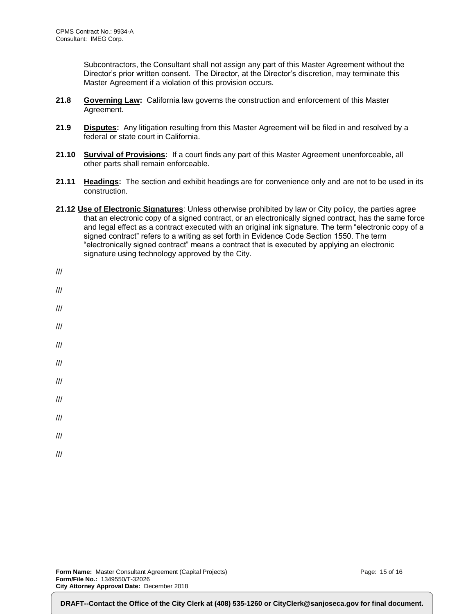Subcontractors, the Consultant shall not assign any part of this Master Agreement without the Director's prior written consent. The Director, at the Director's discretion, may terminate this Master Agreement if a violation of this provision occurs.

- **21.8 Governing Law:** California law governs the construction and enforcement of this Master Agreement.
- **21.9 Disputes:** Any litigation resulting from this Master Agreement will be filed in and resolved by a federal or state court in California.
- **21.10 Survival of Provisions:** If a court finds any part of this Master Agreement unenforceable, all other parts shall remain enforceable.
- **21.11 Headings:** The section and exhibit headings are for convenience only and are not to be used in its construction.
- **21.12 Use of Electronic Signatures**: Unless otherwise prohibited by law or City policy, the parties agree that an electronic copy of a signed contract, or an electronically signed contract, has the same force and legal effect as a contract executed with an original ink signature. The term "electronic copy of a signed contract" refers to a writing as set forth in Evidence Code Section 1550. The term "electronically signed contract" means a contract that is executed by applying an electronic signature using technology approved by the City.

| ///                     |
|-------------------------|
| ///                     |
|                         |
| $^{\prime\prime\prime}$ |
| ///                     |
| $^{\prime\prime\prime}$ |
| $^{\prime\prime\prime}$ |
| $^{\prime\prime\prime}$ |
| ///                     |
| ///                     |
|                         |

///

Page: 15 of 16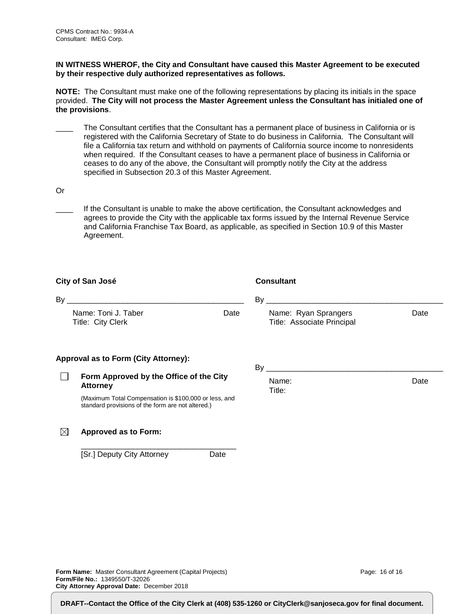**IN WITNESS WHEROF, the City and Consultant have caused this Master Agreement to be executed by their respective duly authorized representatives as follows.**

**NOTE:** The Consultant must make one of the following representations by placing its initials in the space provided. **The City will not process the Master Agreement unless the Consultant has initialed one of the provisions**.

- The Consultant certifies that the Consultant has a permanent place of business in California or is registered with the California Secretary of State to do business in California. The Consultant will file a California tax return and withhold on payments of California source income to nonresidents when required. If the Consultant ceases to have a permanent place of business in California or ceases to do any of the above, the Consultant will promptly notify the City at the address specified in Subsection 20.3 of this Master Agreement.
- Or

If the Consultant is unable to make the above certification, the Consultant acknowledges and agrees to provide the City with the applicable tax forms issued by the Internal Revenue Service and California Franchise Tax Board, as applicable, as specified in Section 10.9 of this Master Agreement.

|      | City of San José                                                                                           | <b>Consultant</b>                                  |      |
|------|------------------------------------------------------------------------------------------------------------|----------------------------------------------------|------|
| By _ |                                                                                                            |                                                    |      |
|      | Name: Toni J. Taber<br>Date<br>Title: City Clerk                                                           | Name: Ryan Sprangers<br>Title: Associate Principal | Date |
|      | Approval as to Form (City Attorney):                                                                       |                                                    |      |
|      | Form Approved by the Office of the City<br><b>Attorney</b>                                                 | Name:<br>Title:                                    | Date |
|      | (Maximum Total Compensation is \$100,000 or less, and<br>standard provisions of the form are not altered.) |                                                    |      |
| IX   | Approved as to Form:                                                                                       |                                                    |      |

\_\_\_\_\_\_\_\_\_\_\_\_\_\_\_\_\_\_\_\_\_\_\_\_\_\_\_\_\_\_\_\_\_\_\_\_ [Sr.] Deputy City Attorney Date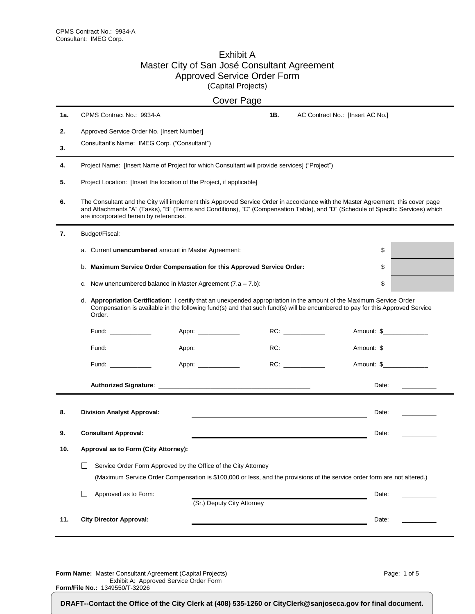#### Exhibit A Master City of San José Consultant Agreement Approved Service Order Form (Capital Projects)

|     |                                                                                                                                                                                                                                                                                                               | <b>Cover Page</b>          |     |                                  |                               |
|-----|---------------------------------------------------------------------------------------------------------------------------------------------------------------------------------------------------------------------------------------------------------------------------------------------------------------|----------------------------|-----|----------------------------------|-------------------------------|
| 1а. | CPMS Contract No.: 9934-A                                                                                                                                                                                                                                                                                     |                            | 1B. | AC Contract No.: [Insert AC No.] |                               |
| 2.  | Approved Service Order No. [Insert Number]                                                                                                                                                                                                                                                                    |                            |     |                                  |                               |
| 3.  | Consultant's Name: IMEG Corp. ("Consultant")                                                                                                                                                                                                                                                                  |                            |     |                                  |                               |
| 4.  | Project Name: [Insert Name of Project for which Consultant will provide services] ("Project")                                                                                                                                                                                                                 |                            |     |                                  |                               |
| 5.  | Project Location: [Insert the location of the Project, if applicable]                                                                                                                                                                                                                                         |                            |     |                                  |                               |
| 6.  | The Consultant and the City will implement this Approved Service Order in accordance with the Master Agreement, this cover page<br>and Attachments "A" (Tasks), "B" (Terms and Conditions), "C" (Compensation Table), and "D" (Schedule of Specific Services) which<br>are incorporated herein by references. |                            |     |                                  |                               |
| 7.  | Budget/Fiscal:                                                                                                                                                                                                                                                                                                |                            |     |                                  |                               |
|     | a. Current unencumbered amount in Master Agreement:                                                                                                                                                                                                                                                           |                            |     |                                  | \$                            |
|     | Maximum Service Order Compensation for this Approved Service Order:<br>b.                                                                                                                                                                                                                                     |                            |     |                                  | \$                            |
|     | c. New unencumbered balance in Master Agreement $(7.a - 7.b)$ :                                                                                                                                                                                                                                               |                            |     |                                  | \$                            |
|     | d. Appropriation Certification: I certify that an unexpended appropriation in the amount of the Maximum Service Order<br>Compensation is available in the following fund(s) and that such fund(s) will be encumbered to pay for this Approved Service<br>Order.                                               |                            |     |                                  |                               |
|     | Fund: $\frac{1}{2}$                                                                                                                                                                                                                                                                                           | Appn: ____________         |     |                                  | Amount: \$______________      |
|     | Fund: ___________                                                                                                                                                                                                                                                                                             | Appn: ____________         |     |                                  | Amount: \$_______________     |
|     | Fund: ______________                                                                                                                                                                                                                                                                                          | Appn: _____________        |     |                                  | Amount: \$                    |
|     |                                                                                                                                                                                                                                                                                                               |                            |     |                                  | Date:<br><u>and the state</u> |
| 8.  | <b>Division Analyst Approval:</b>                                                                                                                                                                                                                                                                             |                            |     |                                  | Date:                         |
| 9.  | <b>Consultant Approval:</b>                                                                                                                                                                                                                                                                                   |                            |     |                                  | Date:                         |
| 10. | Approval as to Form (City Attorney):                                                                                                                                                                                                                                                                          |                            |     |                                  |                               |
|     | Service Order Form Approved by the Office of the City Attorney                                                                                                                                                                                                                                                |                            |     |                                  |                               |
|     | (Maximum Service Order Compensation is \$100,000 or less, and the provisions of the service order form are not altered.)                                                                                                                                                                                      |                            |     |                                  |                               |
|     | Approved as to Form:<br>$\mathsf{L}$                                                                                                                                                                                                                                                                          |                            |     |                                  | Date:                         |
|     |                                                                                                                                                                                                                                                                                                               | (Sr.) Deputy City Attorney |     |                                  |                               |
| 11. | <b>City Director Approval:</b>                                                                                                                                                                                                                                                                                |                            |     |                                  | Date:                         |

**Form Name:** Master Consultant Agreement (Capital Projects) Exhibit A: Approved Service Order Form **Form/File No.:** 1349550/T-32026

Page: 1 of 5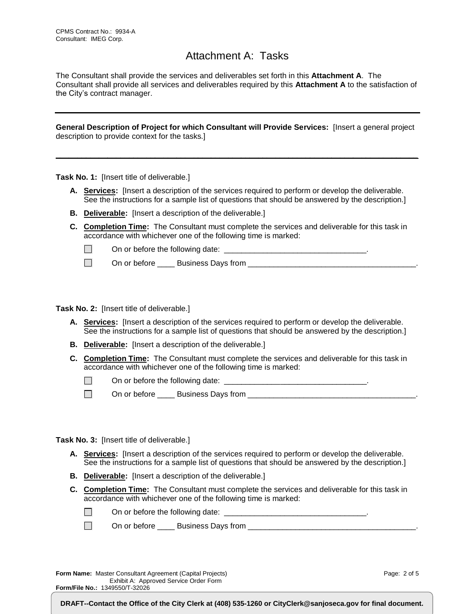# Attachment A: Tasks

The Consultant shall provide the services and deliverables set forth in this **Attachment A**. The Consultant shall provide all services and deliverables required by this **Attachment A** to the satisfaction of the City's contract manager.

**General Description of Project for which Consultant will Provide Services:** [Insert a general project description to provide context for the tasks.]

**\_\_\_\_\_\_\_\_\_\_\_\_\_\_\_\_\_\_\_\_\_\_\_\_\_\_\_\_\_\_\_\_\_\_\_\_\_\_\_\_\_\_\_\_\_\_\_\_\_\_\_\_\_\_\_\_\_\_\_\_\_\_\_\_\_\_\_\_\_\_\_\_\_\_\_\_\_\_\_\_\_\_\_\_**

**Task No. 1:** [Insert title of deliverable.]

- **A. Services:** [Insert a description of the services required to perform or develop the deliverable. See the instructions for a sample list of questions that should be answered by the description.]
- **B. Deliverable:** [Insert a description of the deliverable.]
- **C. Completion Time:** The Consultant must complete the services and deliverable for this task in accordance with whichever one of the following time is marked:

 $\Box$ On or before the following date:  $\Box$ 

 $\Box$ On or before \_\_\_\_ Business Days from \_\_\_\_\_\_\_\_\_\_\_\_\_\_\_\_\_\_\_\_\_\_\_\_\_\_\_\_\_\_\_\_\_\_\_\_\_\_\_.

**Task No. 2:** [Insert title of deliverable.]

- **A. Services:** [Insert a description of the services required to perform or develop the deliverable. See the instructions for a sample list of questions that should be answered by the description.]
- **B. Deliverable:** [Insert a description of the deliverable.]
- **C. Completion Time:** The Consultant must complete the services and deliverable for this task in accordance with whichever one of the following time is marked:

 $\Box$ On or before the following date: \_\_\_\_\_\_\_\_\_\_\_\_\_\_\_\_\_\_\_\_\_\_\_\_\_\_\_\_\_\_\_\_\_.

 $\Box$ On or before \_\_\_\_ Business Days from \_\_\_\_\_\_\_\_\_\_\_\_\_\_\_\_\_\_\_\_\_\_\_\_\_\_\_\_\_\_\_\_\_\_\_\_\_\_\_.

**Task No. 3:** [Insert title of deliverable.]

- **A. Services:** [Insert a description of the services required to perform or develop the deliverable. See the instructions for a sample list of questions that should be answered by the description.]
- **B. Deliverable:** [Insert a description of the deliverable.]
- **C. Completion Time:** The Consultant must complete the services and deliverable for this task in accordance with whichever one of the following time is marked:

| On or before the following date: |  |
|----------------------------------|--|
|----------------------------------|--|

 $\Box$ On or before \_\_\_\_ Business Days from \_\_\_\_\_\_\_\_\_\_\_\_\_\_\_\_\_\_\_\_\_\_\_\_\_\_\_\_\_\_\_\_\_\_\_\_\_\_\_.

**Form Name:** Master Consultant Agreement (Capital Projects) Exhibit A: Approved Service Order Form **Form/File No.:** 1349550/T-32026

Page: 2 of 5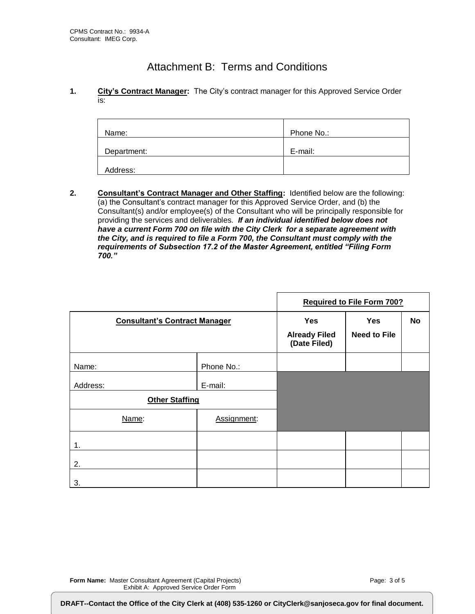# Attachment B: Terms and Conditions

**1. City's Contract Manager:** The City's contract manager for this Approved Service Order is:

| Name:       | Phone No.: |
|-------------|------------|
| Department: | E-mail:    |
| Address:    |            |

**2. Consultant's Contract Manager and Other Staffing:** Identified below are the following: (a) the Consultant's contract manager for this Approved Service Order, and (b) the Consultant(s) and/or employee(s) of the Consultant who will be principally responsible for providing the services and deliverables. *If an individual identified below does not have a current Form 700 on file with the City Clerk for a separate agreement with the City, and is required to file a Form 700, the Consultant must comply with the requirements of Subsection 17.2 of the Master Agreement, entitled "Filing Form 700."*

|                                      |             | <b>Required to File Form 700?</b>                  |                            |    |
|--------------------------------------|-------------|----------------------------------------------------|----------------------------|----|
| <b>Consultant's Contract Manager</b> |             | <b>Yes</b><br><b>Already Filed</b><br>(Date Filed) | Yes<br><b>Need to File</b> | No |
| Name:                                | Phone No.:  |                                                    |                            |    |
| Address:                             | E-mail:     |                                                    |                            |    |
| <b>Other Staffing</b>                |             |                                                    |                            |    |
| Name:                                | Assignment: |                                                    |                            |    |
| 1.                                   |             |                                                    |                            |    |
| 2.                                   |             |                                                    |                            |    |
| 3.                                   |             |                                                    |                            |    |

**Form/File No.:** 1349550/T-32026

DRAFT--Contact the Office of the City Clerk at (408) 535-1260 or CityClerk@sanjoseca.gov for final document.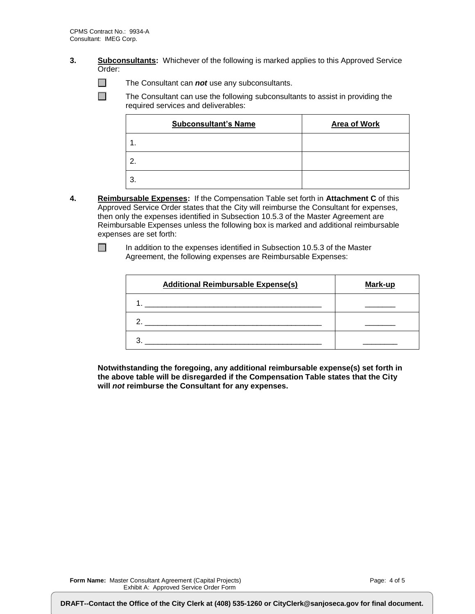- **3. Subconsultants:** Whichever of the following is marked applies to this Approved Service Order:
	- $\Box$ The Consultant can *not* use any subconsultants.

 $\Box$ The Consultant can use the following subconsultants to assist in providing the required services and deliverables:

| <b>Subconsultant's Name</b> | <b>Area of Work</b> |
|-----------------------------|---------------------|
| 1.                          |                     |
| 2.                          |                     |
| 3.                          |                     |

**4. Reimbursable Expenses:** If the Compensation Table set forth in **Attachment C** of this Approved Service Order states that the City will reimburse the Consultant for expenses, then only the expenses identified in Subsection 10.5.3 of the Master Agreement are Reimbursable Expenses unless the following box is marked and additional reimbursable expenses are set forth:

In addition to the expenses identified in Subsection 10.5.3 of the Master Agreement, the following expenses are Reimbursable Expenses:

| <b>Additional Reimbursable Expense(s)</b> | Mark-up |
|-------------------------------------------|---------|
|                                           |         |
|                                           |         |
|                                           |         |

**Notwithstanding the foregoing, any additional reimbursable expense(s) set forth in the above table will be disregarded if the Compensation Table states that the City will** *not* **reimburse the Consultant for any expenses.**

**Form Name:** Master Consultant Agreement (Capital Projects) Exhibit A: Approved Service Order Form

**Form/File No.:** 1349550/T-32026

 $\Box$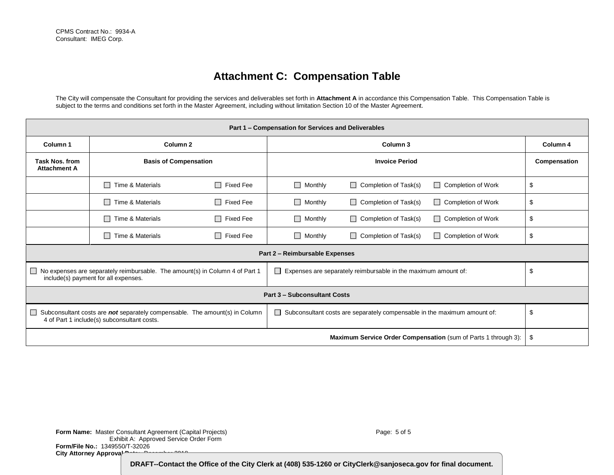# **Attachment C: Compensation Table**

The City will compensate the Consultant for providing the services and deliverables set forth in **Attachment A** in accordance this Compensation Table. This Compensation Table is subject to the terms and conditions set forth in the Master Agreement, including without limitation Section 10 of the Master Agreement.

| Part 1 - Compensation for Services and Deliverables                                                                                  |                              |                            |                                |                                                                          |                                                                |              |  |
|--------------------------------------------------------------------------------------------------------------------------------------|------------------------------|----------------------------|--------------------------------|--------------------------------------------------------------------------|----------------------------------------------------------------|--------------|--|
| Column <sub>2</sub><br>Column <sub>1</sub>                                                                                           |                              | Column 3                   |                                |                                                                          | Column 4                                                       |              |  |
| <b>Task Nos. from</b><br><b>Attachment A</b>                                                                                         | <b>Basis of Compensation</b> |                            | <b>Invoice Period</b>          |                                                                          |                                                                | Compensation |  |
|                                                                                                                                      | $\Box$ Time & Materials      | Fixed Fee<br>$\Box$        | $\Box$ Monthly                 | $\Box$ Completion of Task(s)                                             | $\Box$ Completion of Work                                      | \$           |  |
|                                                                                                                                      | Time & Materials             | П<br><b>Fixed Fee</b>      | $\Box$ Monthly                 | $\Box$ Completion of Task(s)                                             | $\Box$ Completion of Work                                      | \$           |  |
|                                                                                                                                      | $\Box$ Time & Materials      | $\Box$<br><b>Fixed Fee</b> | $\Box$ Monthly                 | $\Box$ Completion of Task(s)                                             | $\Box$ Completion of Work                                      | \$           |  |
|                                                                                                                                      | $\Box$ Time & Materials      | Fixed Fee<br>$\Box$        | $\Box$ Monthly                 | $\Box$ Completion of Task(s)                                             | <b>Completion of Work</b>                                      | \$           |  |
|                                                                                                                                      |                              |                            | Part 2 - Reimbursable Expenses |                                                                          |                                                                |              |  |
| $\Box$ No expenses are separately reimbursable. The amount(s) in Column 4 of Part 1<br>include(s) payment for all expenses.          |                              |                            | $\mathsf{L}$                   | Expenses are separately reimbursable in the maximum amount of:           |                                                                | \$           |  |
| <b>Part 3 - Subconsultant Costs</b>                                                                                                  |                              |                            |                                |                                                                          |                                                                |              |  |
| Subconsultant costs are not separately compensable. The amount(s) in Column<br>$\sim$<br>4 of Part 1 include(s) subconsultant costs. |                              |                            | $\Box$                         | Subconsultant costs are separately compensable in the maximum amount of: |                                                                | \$           |  |
|                                                                                                                                      |                              |                            |                                |                                                                          | Maximum Service Order Compensation (sum of Parts 1 through 3): | \$           |  |

**Form Name:** Master Consultant Agreement (Capital Projects) Exhibit A: Approved Service Order Form **Form/File No.:** 1349550/T-32026 City Attorney Approval **Date:** December 2019

Page: 5 of 5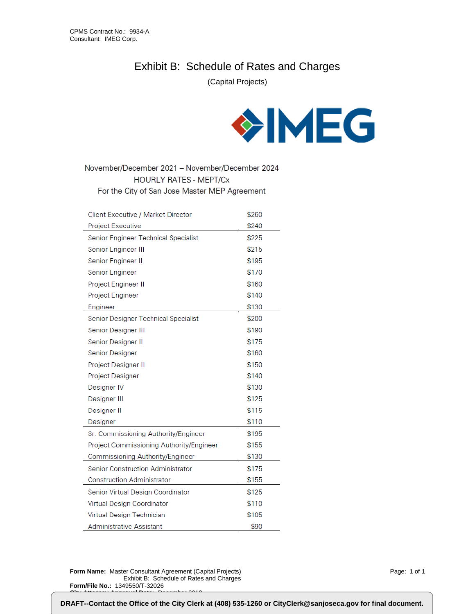# Exhibit B: Schedule of Rates and Charges

(Capital Projects)



November/December 2021 - November/December 2024 **HOURLY RATES - MEPT/Cx** For the City of San Jose Master MEP Agreement

| Client Executive / Market Director       | \$260 |
|------------------------------------------|-------|
| Project Executive                        | \$240 |
| Senior Engineer Technical Specialist     | \$225 |
| Senior Engineer III                      | \$215 |
| Senior Engineer II                       | \$195 |
| Senior Engineer                          | \$170 |
| Project Engineer II                      | \$160 |
| Project Engineer                         | \$140 |
| Engineer                                 | \$130 |
| Senior Designer Technical Specialist     | \$200 |
| Senior Designer III                      | \$190 |
| Senior Designer II                       | \$175 |
| <b>Senior Designer</b>                   | \$160 |
| Project Designer II                      | \$150 |
| <b>Project Designer</b>                  | \$140 |
| Designer IV                              | \$130 |
| Designer III                             | \$125 |
| Designer II                              | \$115 |
| Designer                                 | \$110 |
| Sr. Commissioning Authority/Engineer     | \$195 |
| Project Commissioning Authority/Engineer | \$155 |
| Commissioning Authority/Engineer         | \$130 |
| <b>Senior Construction Administrator</b> | \$175 |
| <b>Construction Administrator</b>        | \$155 |
| Senior Virtual Design Coordinator        | \$125 |
| Virtual Design Coordinator               | \$110 |
| Virtual Design Technician                | \$105 |
| Administrative Assistant                 | \$90  |

**Form Name:** Master Consultant Agreement (Capital Projects) Exhibit B: Schedule of Rates and Charges **Form/File No.:** 1349550/T-32026 **City Attorney Approval Date:** December 2018

Page: 1 of 1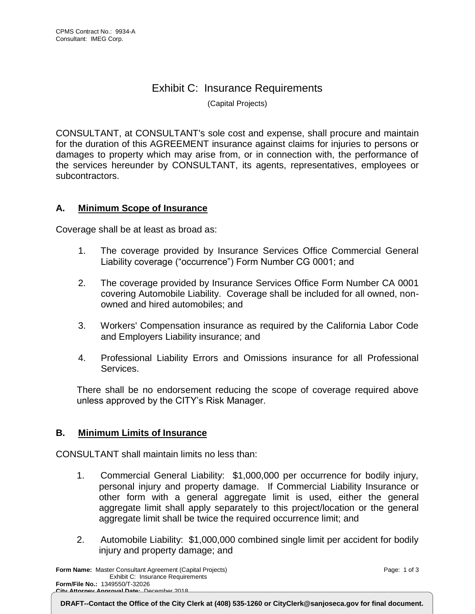# Exhibit C: Insurance Requirements

(Capital Projects)

CONSULTANT, at CONSULTANT's sole cost and expense, shall procure and maintain for the duration of this AGREEMENT insurance against claims for injuries to persons or damages to property which may arise from, or in connection with, the performance of the services hereunder by CONSULTANT, its agents, representatives, employees or subcontractors.

# **A. Minimum Scope of Insurance**

Coverage shall be at least as broad as:

- 1. The coverage provided by Insurance Services Office Commercial General Liability coverage ("occurrence") Form Number CG 0001; and
- 2. The coverage provided by Insurance Services Office Form Number CA 0001 covering Automobile Liability. Coverage shall be included for all owned, nonowned and hired automobiles; and
- 3. Workers' Compensation insurance as required by the California Labor Code and Employers Liability insurance; and
- 4. Professional Liability Errors and Omissions insurance for all Professional Services.

There shall be no endorsement reducing the scope of coverage required above unless approved by the CITY's Risk Manager.

# **B. Minimum Limits of Insurance**

CONSULTANT shall maintain limits no less than:

- 1. Commercial General Liability: \$1,000,000 per occurrence for bodily injury, personal injury and property damage. If Commercial Liability Insurance or other form with a general aggregate limit is used, either the general aggregate limit shall apply separately to this project/location or the general aggregate limit shall be twice the required occurrence limit; and
- 2. Automobile Liability: \$1,000,000 combined single limit per accident for bodily injury and property damage; and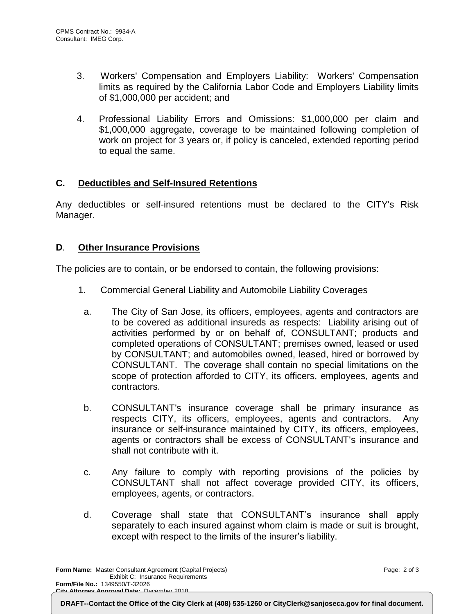- 3. Workers' Compensation and Employers Liability: Workers' Compensation limits as required by the California Labor Code and Employers Liability limits of \$1,000,000 per accident; and
- 4. Professional Liability Errors and Omissions: \$1,000,000 per claim and \$1,000,000 aggregate, coverage to be maintained following completion of work on project for 3 years or, if policy is canceled, extended reporting period to equal the same.

# **C. Deductibles and Self-Insured Retentions**

Any deductibles or self-insured retentions must be declared to the CITY's Risk Manager.

# **D**. **Other Insurance Provisions**

The policies are to contain, or be endorsed to contain, the following provisions:

- 1. Commercial General Liability and Automobile Liability Coverages
	- a. The City of San Jose, its officers, employees, agents and contractors are to be covered as additional insureds as respects: Liability arising out of activities performed by or on behalf of, CONSULTANT; products and completed operations of CONSULTANT; premises owned, leased or used by CONSULTANT; and automobiles owned, leased, hired or borrowed by CONSULTANT. The coverage shall contain no special limitations on the scope of protection afforded to CITY, its officers, employees, agents and contractors.
	- b. CONSULTANT's insurance coverage shall be primary insurance as respects CITY, its officers, employees, agents and contractors. Any insurance or self-insurance maintained by CITY, its officers, employees, agents or contractors shall be excess of CONSULTANT's insurance and shall not contribute with it.
	- c. Any failure to comply with reporting provisions of the policies by CONSULTANT shall not affect coverage provided CITY, its officers, employees, agents, or contractors.
	- d. Coverage shall state that CONSULTANT's insurance shall apply separately to each insured against whom claim is made or suit is brought, except with respect to the limits of the insurer's liability.